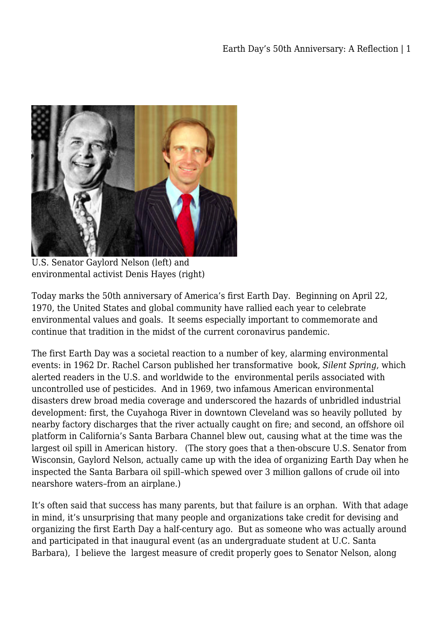

U.S. Senator Gaylord Nelson (left) and environmental activist Denis Hayes (right)

Today marks the 50th anniversary of America's first Earth Day. Beginning on April 22, 1970, the United States and global community have rallied each year to celebrate environmental values and goals. It seems especially important to commemorate and continue that tradition in the midst of the current coronavirus pandemic.

The first Earth Day was a societal reaction to a number of key, alarming environmental events: in 1962 Dr. Rachel Carson published her transformative book, *Silent Spring*, which alerted readers in the U.S. and worldwide to the environmental perils associated with uncontrolled use of pesticides. And in 1969, two infamous American environmental disasters drew broad media coverage and underscored the hazards of unbridled industrial development: first, the Cuyahoga River in downtown Cleveland was so heavily polluted by nearby factory discharges that the river actually caught on fire; and second, an offshore oil platform in California's Santa Barbara Channel blew out, causing what at the time was the largest oil spill in American history. (The story goes that a then-obscure U.S. Senator from Wisconsin, Gaylord Nelson, actually came up with the idea of organizing Earth Day when he inspected the Santa Barbara oil spill–which spewed over 3 million gallons of crude oil into nearshore waters–from an airplane.)

It's often said that success has many parents, but that failure is an orphan. With that adage in mind, it's unsurprising that many people and organizations take credit for devising and organizing the first Earth Day a half-century ago. But as someone who was actually around and participated in that inaugural event (as an undergraduate student at U.C. Santa Barbara), I believe the largest measure of credit properly goes to Senator Nelson, along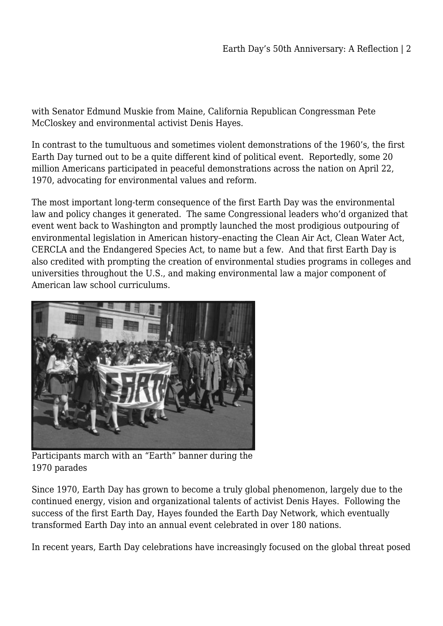with Senator Edmund Muskie from Maine, California Republican Congressman Pete McCloskey and environmental activist Denis Hayes.

In contrast to the tumultuous and sometimes violent demonstrations of the 1960's, the first Earth Day turned out to be a quite different kind of political event. Reportedly, some 20 million Americans participated in peaceful demonstrations across the nation on April 22, 1970, advocating for environmental values and reform.

The most important long-term consequence of the first Earth Day was the environmental law and policy changes it generated. The same Congressional leaders who'd organized that event went back to Washington and promptly launched the most prodigious outpouring of environmental legislation in American history–enacting the Clean Air Act, Clean Water Act, CERCLA and the Endangered Species Act, to name but a few. And that first Earth Day is also credited with prompting the creation of environmental studies programs in colleges and universities throughout the U.S., and making environmental law a major component of American law school curriculums.



Participants march with an "Earth" banner during the 1970 parades

Since 1970, Earth Day has grown to become a truly global phenomenon, largely due to the continued energy, vision and organizational talents of activist Denis Hayes. Following the success of the first Earth Day, Hayes founded the Earth Day Network, which eventually transformed Earth Day into an annual event celebrated in over 180 nations.

In recent years, Earth Day celebrations have increasingly focused on the global threat posed